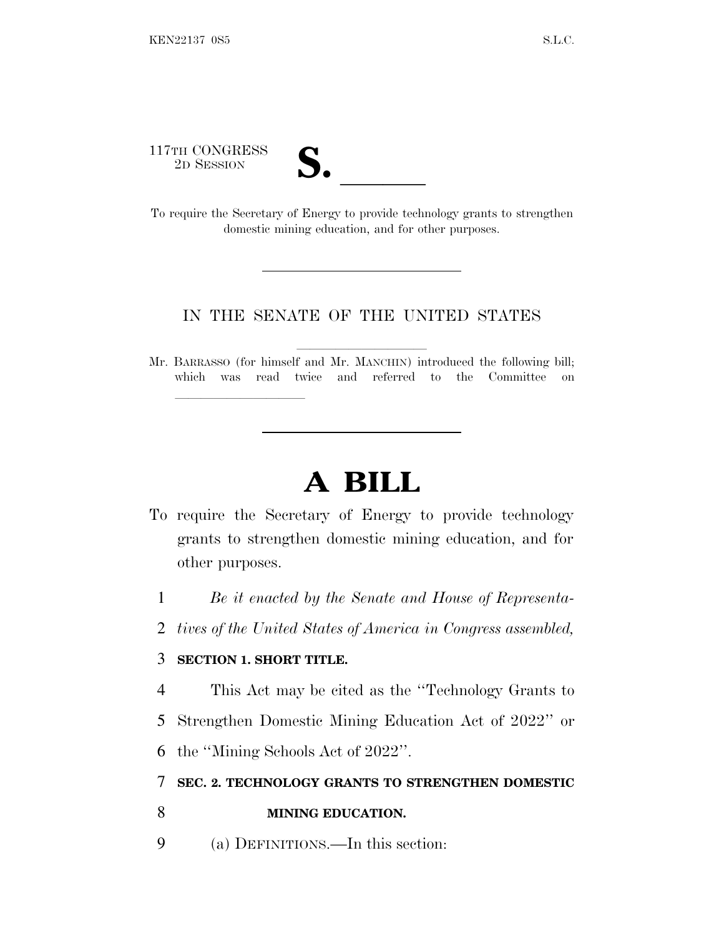117TH CONGRESS<br>2D SESSION

| T                                |  |
|----------------------------------|--|
| L/ o<br>$\overline{\phantom{a}}$ |  |

117TH CONGRESS<br>
2D SESSION<br>
To require the Secretary of Energy to provide technology grants to strengthen domestic mining education, and for other purposes.

## IN THE SENATE OF THE UNITED STATES

Mr. BARRASSO (for himself and Mr. MANCHIN) introduced the following bill; which was read twice and referred to the Committee on

## **A BILL**

- To require the Secretary of Energy to provide technology grants to strengthen domestic mining education, and for other purposes.
	- 1 *Be it enacted by the Senate and House of Representa-*
- 2 *tives of the United States of America in Congress assembled,*

## 3 **SECTION 1. SHORT TITLE.**

lla se al consegue de la consegue de la consegue de la consegue de la consegue de la consegue de la consegue d<br>La consegue de la consegue de la consegue de la consegue de la consegue de la consegue de la consegue de la co

- 4 This Act may be cited as the ''Technology Grants to
- 5 Strengthen Domestic Mining Education Act of 2022'' or
- 6 the ''Mining Schools Act of 2022''.

## 7 **SEC. 2. TECHNOLOGY GRANTS TO STRENGTHEN DOMESTIC**

- 8 **MINING EDUCATION.**
- 9 (a) DEFINITIONS.—In this section: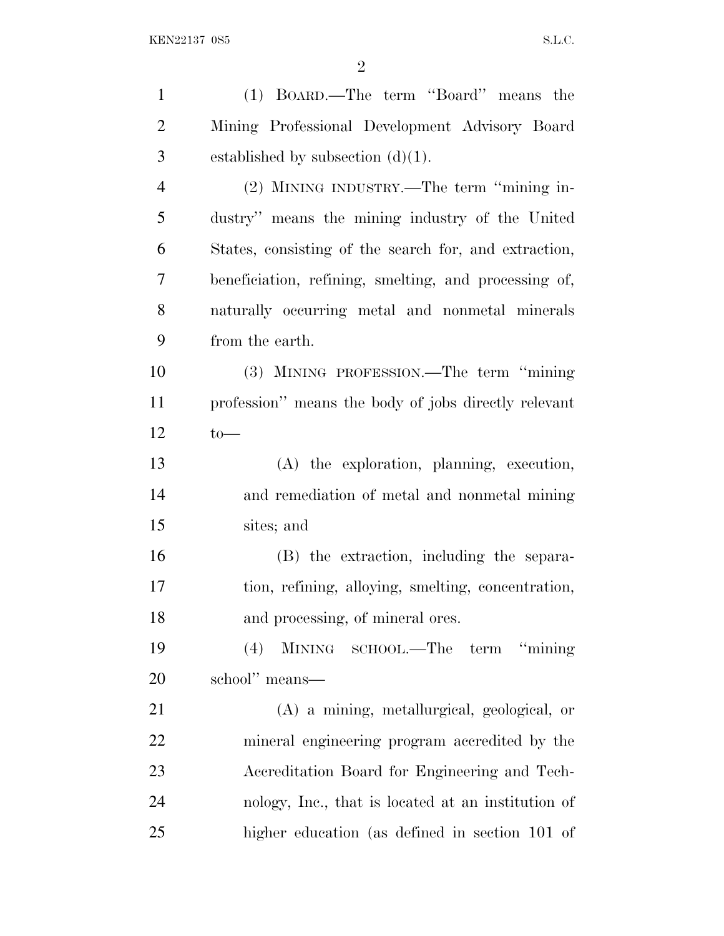| $\mathbf{1}$   | (1) BOARD.—The term "Board" means the                 |
|----------------|-------------------------------------------------------|
| $\overline{2}$ | Mining Professional Development Advisory Board        |
| 3              | established by subsection $(d)(1)$ .                  |
| $\overline{4}$ | (2) MINING INDUSTRY.—The term "mining in-             |
| 5              | dustry" means the mining industry of the United       |
| 6              | States, consisting of the search for, and extraction, |
| 7              | beneficiation, refining, smelting, and processing of, |
| 8              | naturally occurring metal and nonmetal minerals       |
| 9              | from the earth.                                       |
| 10             | (3) MINING PROFESSION.—The term "mining"              |
| 11             | profession" means the body of jobs directly relevant  |
| 12             | $to-$                                                 |
| 13             | (A) the exploration, planning, execution,             |
| 14             | and remediation of metal and nonmetal mining          |
| 15             | sites; and                                            |
| 16             | (B) the extraction, including the separa-             |
| 17             | tion, refining, alloying, smelting, concentration,    |
| 18             | and processing, of mineral ores.                      |
| 19             | MINING SCHOOL.—The term "mining"<br>(4)               |
| 20             | school" means—                                        |
| 21             | (A) a mining, metallurgical, geological, or           |
| 22             | mineral engineering program accredited by the         |
| 23             | Accreditation Board for Engineering and Tech-         |
| 24             | nology, Inc., that is located at an institution of    |
| 25             | higher education (as defined in section 101 of        |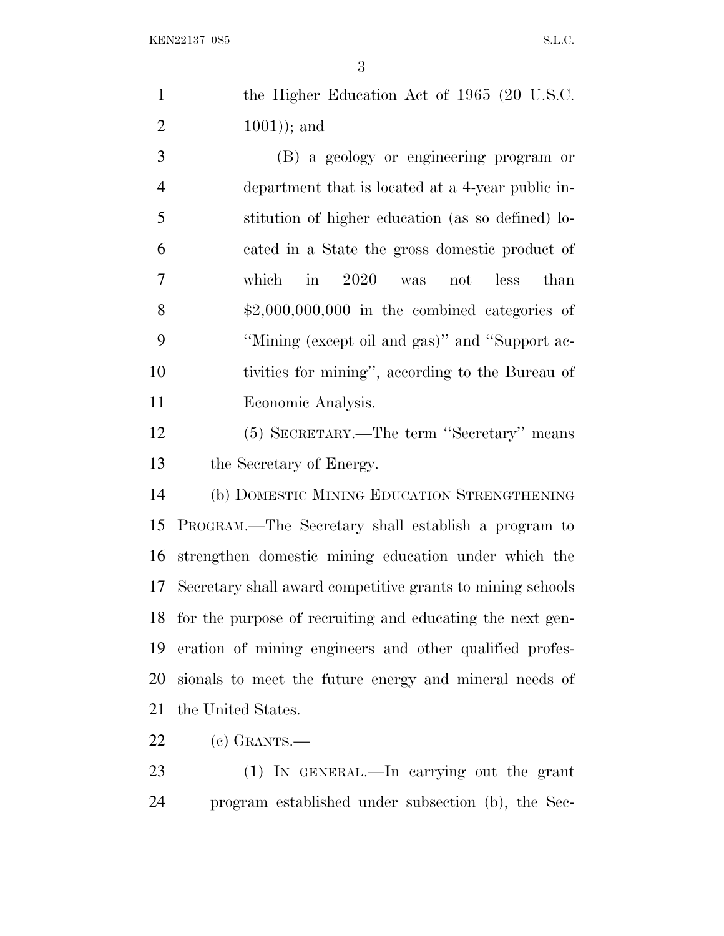| the Higher Education Act of 1965 (20 U.S.C. |
|---------------------------------------------|
| $(1001)$ ; and                              |
|                                             |

 (B) a geology or engineering program or department that is located at a 4-year public in- stitution of higher education (as so defined) lo- cated in a State the gross domestic product of which in 2020 was not less than  $\text{\$2,000,000,000}$  in the combined categories of ''Mining (except oil and gas)'' and ''Support ac- tivities for mining'', according to the Bureau of Economic Analysis.

 (5) SECRETARY.—The term ''Secretary'' means the Secretary of Energy.

 (b) DOMESTIC MINING EDUCATION STRENGTHENING PROGRAM.—The Secretary shall establish a program to strengthen domestic mining education under which the Secretary shall award competitive grants to mining schools for the purpose of recruiting and educating the next gen- eration of mining engineers and other qualified profes- sionals to meet the future energy and mineral needs of the United States.

(c) GRANTS.—

 (1) IN GENERAL.—In carrying out the grant program established under subsection (b), the Sec-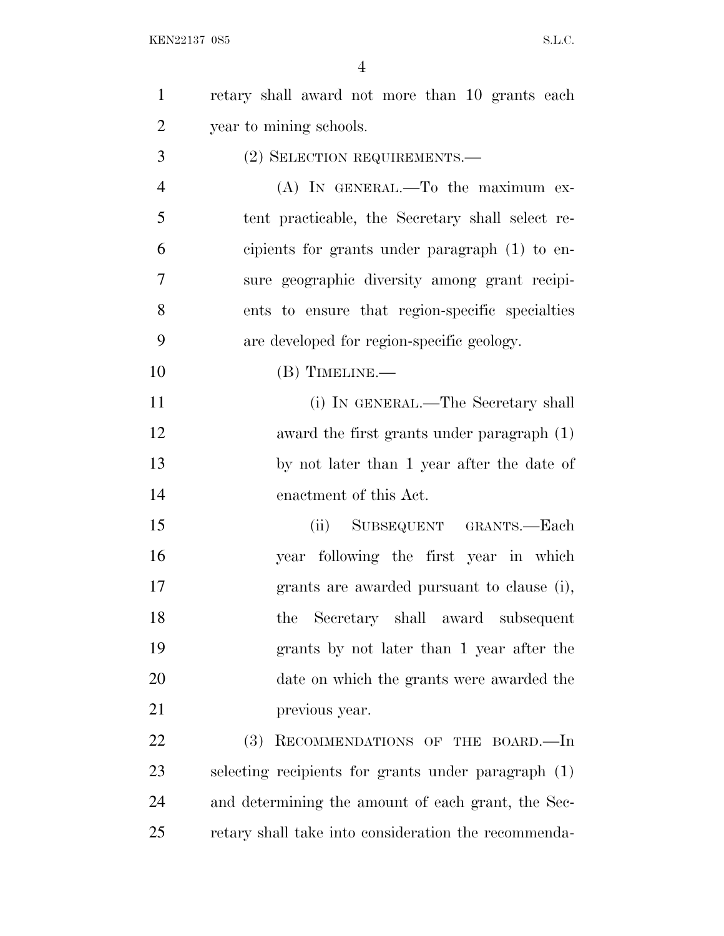| $\mathbf{1}$   | retary shall award not more than 10 grants each      |
|----------------|------------------------------------------------------|
| $\overline{2}$ | year to mining schools.                              |
| 3              | (2) SELECTION REQUIREMENTS.-                         |
| $\overline{4}$ | $(A)$ IN GENERAL.—To the maximum ex-                 |
| 5              | tent practicable, the Secretary shall select re-     |
| 6              | cipients for grants under paragraph (1) to en-       |
| 7              | sure geographic diversity among grant recipi-        |
| 8              | ents to ensure that region-specific specialties      |
| 9              | are developed for region-specific geology.           |
| 10             | $(B)$ TIMELINE.—                                     |
| 11             | (i) IN GENERAL.—The Secretary shall                  |
| 12             | award the first grants under paragraph (1)           |
| 13             | by not later than 1 year after the date of           |
| 14             | enactment of this Act.                               |
| 15             | (ii) SUBSEQUENT GRANTS.-Each                         |
| 16             | year following the first year in which               |
| 17             | grants are awarded pursuant to clause (i),           |
| 18             | Secretary shall award subsequent<br>the              |
| 19             | grants by not later than 1 year after the            |
| 20             | date on which the grants were awarded the            |
| 21             | previous year.                                       |
| 22             | (3)<br>RECOMMENDATIONS OF THE BOARD.-In              |
| 23             | selecting recipients for grants under paragraph (1)  |
| 24             | and determining the amount of each grant, the Sec-   |
| 25             | retary shall take into consideration the recommenda- |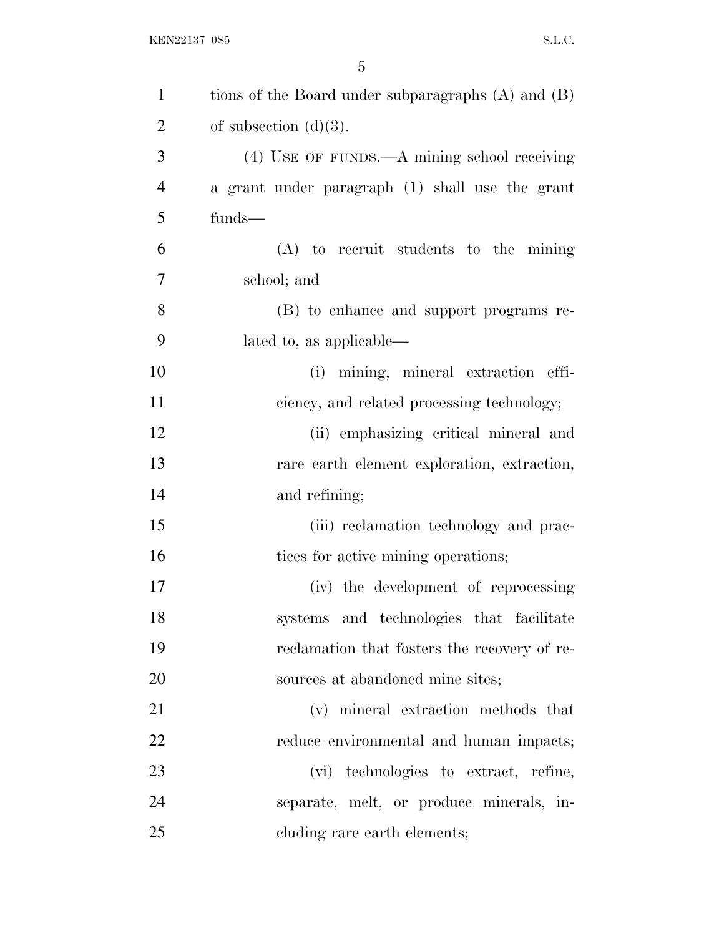| $\mathbf{1}$   | tions of the Board under subparagraphs $(A)$ and $(B)$ |
|----------------|--------------------------------------------------------|
| $\overline{2}$ | of subsection $(d)(3)$ .                               |
| 3              | (4) USE OF FUNDS.—A mining school receiving            |
| $\overline{4}$ | a grant under paragraph (1) shall use the grant        |
| 5              | funds-                                                 |
| 6              | $(A)$ to recruit students to the mining                |
| 7              | school; and                                            |
| 8              | (B) to enhance and support programs re-                |
| 9              | lated to, as applicable—                               |
| 10             | mining, mineral extraction effi-<br>(i)                |
| 11             | ciency, and related processing technology;             |
| 12             | (ii) emphasizing critical mineral and                  |
| 13             | rare earth element exploration, extraction,            |
| 14             | and refining;                                          |
| 15             | (iii) reclamation technology and prac-                 |
| 16             | tices for active mining operations;                    |
| 17             | (iv) the development of reprocessing                   |
| 18             | systems and technologies that facilitate               |
| 19             | reclamation that fosters the recovery of re-           |
| 20             | sources at abandoned mine sites;                       |
| 21             | (v) mineral extraction methods that                    |
| 22             | reduce environmental and human impacts;                |
| 23             | (vi) technologies to extract, refine,                  |
| 24             | separate, melt, or produce minerals, in-               |
| 25             | cluding rare earth elements;                           |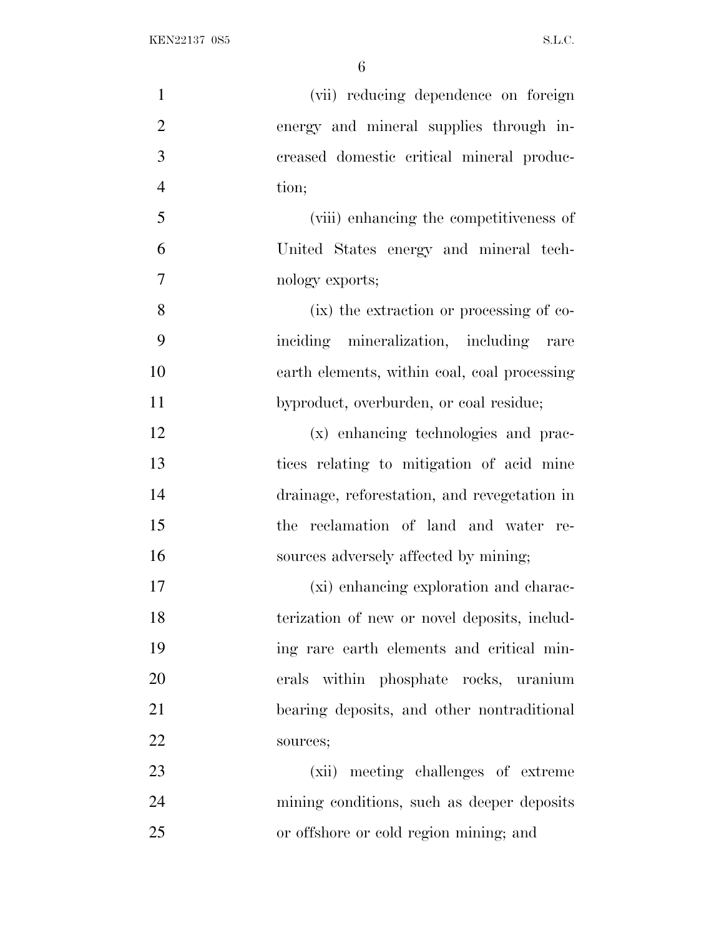| $\mathbf{1}$   | (vii) reducing dependence on foreign         |
|----------------|----------------------------------------------|
| $\overline{2}$ | energy and mineral supplies through in-      |
| 3              | creased domestic critical mineral produc-    |
| $\overline{4}$ | tion;                                        |
| 5              | (viii) enhancing the competitiveness of      |
| 6              | United States energy and mineral tech-       |
| $\overline{7}$ | nology exports;                              |
| 8              | (ix) the extraction or processing of co-     |
| 9              | inciding mineralization, including rare      |
| 10             | earth elements, within coal, coal processing |
| 11             | byproduct, overburden, or coal residue;      |
| 12             | (x) enhancing technologies and prac-         |
| 13             | tices relating to mitigation of acid mine    |
| 14             | drainage, reforestation, and revegetation in |
| 15             | the reclamation of land and water re-        |
| 16             | sources adversely affected by mining;        |
| 17             | (xi) enhancing exploration and charac-       |
| 18             | terization of new or novel deposits, includ- |
| 19             | ing rare earth elements and critical min-    |
| 20             | erals within phosphate rocks, uranium        |
| 21             | bearing deposits, and other nontraditional   |
| 22             | sources;                                     |
| 23             | (xii) meeting challenges of extreme          |
| 24             | mining conditions, such as deeper deposits   |
| 25             | or offshore or cold region mining; and       |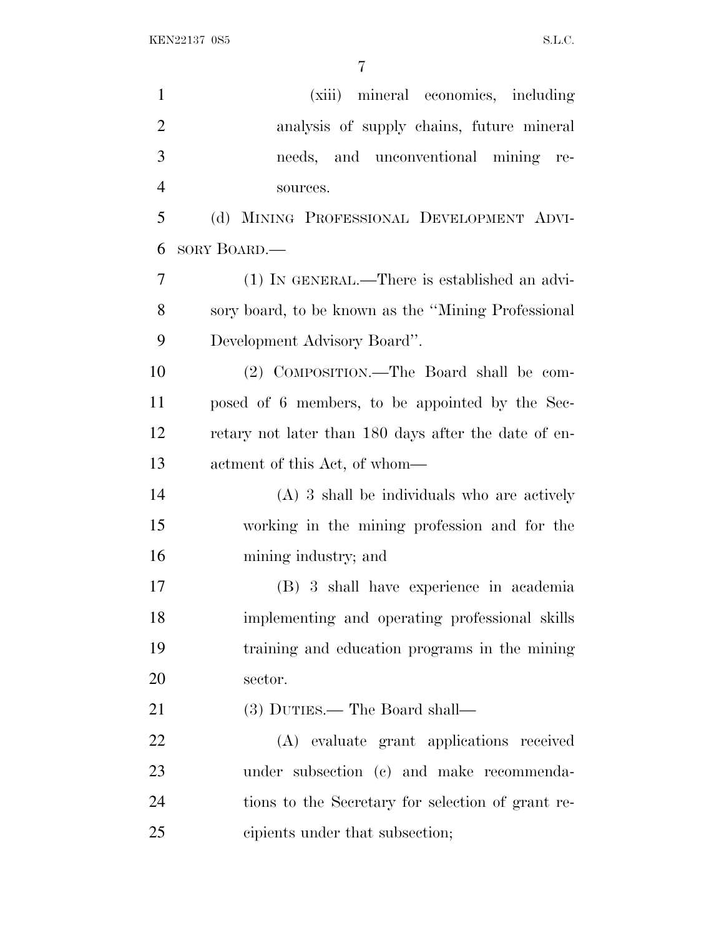| $\mathbf{1}$   | (xiii) mineral economics, including                  |
|----------------|------------------------------------------------------|
| $\overline{2}$ | analysis of supply chains, future mineral            |
| 3              | needs, and unconventional mining re-                 |
| $\overline{4}$ | sources.                                             |
| 5              | (d) MINING PROFESSIONAL DEVELOPMENT ADVI-            |
| 6              | SORY BOARD.—                                         |
| 7              | $(1)$ In GENERAL.—There is established an advi-      |
| 8              | sory board, to be known as the "Mining Professional" |
| 9              | Development Advisory Board".                         |
| 10             | (2) COMPOSITION.—The Board shall be com-             |
| 11             | posed of 6 members, to be appointed by the Sec-      |
| 12             | retary not later than 180 days after the date of en- |
| 13             | actment of this Act, of whom—                        |
| 14             | $(A)$ 3 shall be individuals who are actively        |
| 15             | working in the mining profession and for the         |
| 16             | mining industry; and                                 |
| 17             | (B) 3 shall have experience in academia              |
| 18             | implementing and operating professional skills       |
| 19             | training and education programs in the mining        |
| 20             | sector.                                              |
| 21             | (3) DUTIES.— The Board shall—                        |
| 22             | (A) evaluate grant applications received             |
| 23             | under subsection (c) and make recommenda-            |
| 24             | tions to the Secretary for selection of grant re-    |
| 25             | cipients under that subsection;                      |